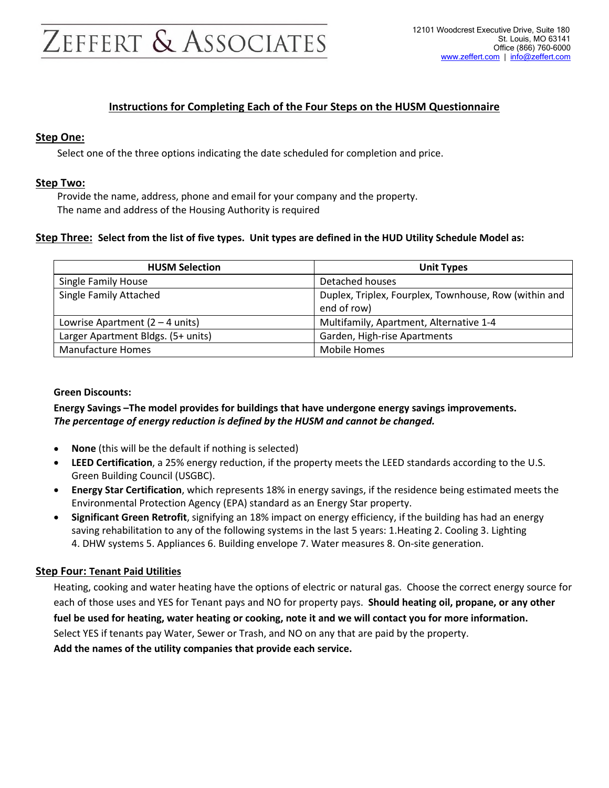# ZEFFERT & ASSOCIATES

### Instructions for Completing Each of the Four Steps on the HUSM Questionnaire

#### Step One:

Select one of the three options indicating the date scheduled for completion and price.

#### Step Two:

Provide the name, address, phone and email for your company and the property. The name and address of the Housing Authority is required

#### Step Three: Select from the list of five types. Unit types are defined in the HUD Utility Schedule Model as:

| <b>HUSM Selection</b>                     | <b>Unit Types</b>                                     |  |
|-------------------------------------------|-------------------------------------------------------|--|
| <b>Single Family House</b>                | Detached houses                                       |  |
| <b>Single Family Attached</b>             | Duplex, Triplex, Fourplex, Townhouse, Row (within and |  |
|                                           | end of row)                                           |  |
| Lowrise Apartment $(2 - 4 \text{ units})$ | Multifamily, Apartment, Alternative 1-4               |  |
| Larger Apartment Bldgs. (5+ units)        | Garden, High-rise Apartments                          |  |
| <b>Manufacture Homes</b>                  | Mobile Homes                                          |  |

#### Green Discounts:

#### Energy Savings –The model provides for buildings that have undergone energy savings improvements. The percentage of energy reduction is defined by the HUSM and cannot be changed.

- None (this will be the default if nothing is selected)
- LEED Certification, a 25% energy reduction, if the property meets the LEED standards according to the U.S. Green Building Council (USGBC).
- Energy Star Certification, which represents 18% in energy savings, if the residence being estimated meets the Environmental Protection Agency (EPA) standard as an Energy Star property.
- Significant Green Retrofit, signifying an 18% impact on energy efficiency, if the building has had an energy saving rehabilitation to any of the following systems in the last 5 years: 1.Heating 2. Cooling 3. Lighting 4. DHW systems 5. Appliances 6. Building envelope 7. Water measures 8. On-site generation.

#### Step Four: Tenant Paid Utilities

Heating, cooking and water heating have the options of electric or natural gas. Choose the correct energy source for each of those uses and YES for Tenant pays and NO for property pays. Should heating oil, propane, or any other fuel be used for heating, water heating or cooking, note it and we will contact you for more information. Select YES if tenants pay Water, Sewer or Trash, and NO on any that are paid by the property. Add the names of the utility companies that provide each service.